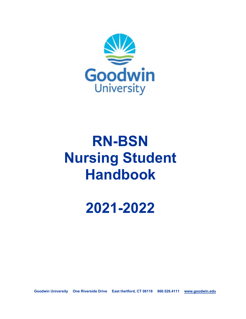

# **RN-BSN Nursing Student Handbook**

**2021-2022**

**Goodwin University One Riverside Drive East Hartford, CT 06118 860.528.4111 www.goodwin.edu**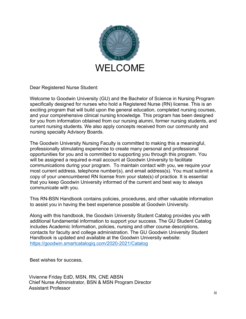

Dear Registered Nurse Student:

Welcome to Goodwin University (GU) and the Bachelor of Science in Nursing Program specifically designed for nurses who hold a Registered Nurse (RN) license. This is an exciting program that will build upon the general education, completed nursing courses, and your comprehensive clinical nursing knowledge. This program has been designed for you from information obtained from our nursing alumni, former nursing students, and current nursing students. We also apply concepts received from our community and nursing specialty Advisory Boards.

The Goodwin University Nursing Faculty is committed to making this a meaningful, professionally stimulating experience to create many personal and professional opportunities for you and is committed to supporting you through this program. You will be assigned a required e-mail account at Goodwin University to facilitate communications during your program. To maintain contact with you, we require your most current address, telephone number(s), and email address(s). You must submit a copy of your unencumbered RN license from your state(s) of practice. It is essential that you keep Goodwin University informed of the current and best way to always communicate with you.

This RN-BSN Handbook contains policies, procedures, and other valuable information to assist you in having the best experience possible at Goodwin University.

Along with this handbook, the Goodwin University Student Catalog provides you with additional fundamental information to support your success. The GU Student Catalog includes Academic Information, policies, nursing and other course descriptions, contacts for faculty and college administration. The GU Goodwin University Student Handbook is updated and available at the Goodwin University website: https://goodwin.smartcatalogiq.com/2020-2021/Catalog

Best wishes for success,

Vivienne Friday EdD, MSN, RN, CNE ABSN Chief Nurse Administrator, BSN & MSN Program Director Assistant Professor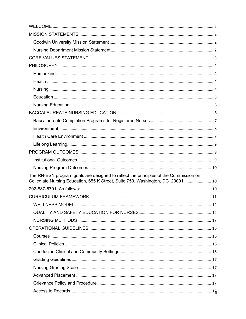| The RN-BSN program goals are designed to reflect the principles of the Commission on<br>Collegiate Nursing Education, 655 K Street, Suite 750, Washington, DC 20001.  10 |
|--------------------------------------------------------------------------------------------------------------------------------------------------------------------------|
|                                                                                                                                                                          |
|                                                                                                                                                                          |
|                                                                                                                                                                          |
|                                                                                                                                                                          |
|                                                                                                                                                                          |
|                                                                                                                                                                          |
|                                                                                                                                                                          |
|                                                                                                                                                                          |
|                                                                                                                                                                          |
|                                                                                                                                                                          |
|                                                                                                                                                                          |
|                                                                                                                                                                          |
|                                                                                                                                                                          |
|                                                                                                                                                                          |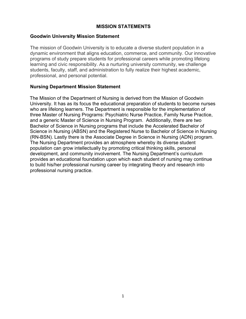#### **MISSION STATEMENTS**

#### **Goodwin University Mission Statement**

The mission of Goodwin University is to educate a diverse student population in a dynamic environment that aligns education, commerce, and community. Our innovative programs of study prepare students for professional careers while promoting lifelong learning and civic responsibility. As a nurturing university community, we challenge students, faculty, staff, and administration to fully realize their highest academic, professional, and personal potential.

#### **Nursing Department Mission Statement**

The Mission of the Department of Nursing is derived from the Mission of Goodwin University. It has as its focus the educational preparation of students to become nurses who are lifelong learners. The Department is responsible for the implementation of three Master of Nursing Programs: Psychiatric Nurse Practice, Family Nurse Practice, and a generic Master of Science in Nursing Program. Additionally, there are two Bachelor of Science in Nursing programs that include the Accelerated Bachelor of Science in Nursing (ABSN) and the Registered Nurse to Bachelor of Science in Nursing (RN-BSN). Lastly there is the Associate Degree in Science in Nursing (ADN) program. The Nursing Department provides an atmosphere whereby its diverse student population can grow intellectually by promoting critical thinking skills, personal development, and community involvement. The Nursing Department's curriculum provides an educational foundation upon which each student of nursing may continue to build his/her professional nursing career by integrating theory and research into professional nursing practice.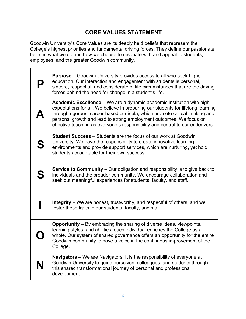## **CORE VALUES STATEMENT**

Goodwin University's Core Values are its deeply held beliefs that represent the College's highest priorities and fundamental driving forces. They define our passionate belief in what we do and how we choose to resonate with and appeal to students, employees, and the greater Goodwin community.

|   | <b>Purpose</b> – Goodwin University provides access to all who seek higher<br>education. Our interaction and engagement with students is personal,<br>sincere, respectful, and considerate of life circumstances that are the driving<br>forces behind the need for change in a student's life.                                                                                                    |
|---|----------------------------------------------------------------------------------------------------------------------------------------------------------------------------------------------------------------------------------------------------------------------------------------------------------------------------------------------------------------------------------------------------|
|   | Academic Excellence - We are a dynamic academic institution with high<br>expectations for all. We believe in preparing our students for lifelong learning<br>through rigorous, career-based curricula, which promote critical thinking and<br>personal growth and lead to strong employment outcomes. We focus on<br>effective teaching as everyone's responsibility and central to our endeavors. |
| S | <b>Student Success</b> – Students are the focus of our work at Goodwin<br>University. We have the responsibility to create innovative learning<br>environments and provide support services, which are nurturing, yet hold<br>students accountable for their own success.                                                                                                                          |
| S | <b>Service to Community</b> – Our obligation and responsibility is to give back to<br>individuals and the broader community. We encourage collaboration and<br>seek out meaningful experiences for students, faculty, and staff.                                                                                                                                                                   |
|   | <b>Integrity</b> – We are honest, trustworthy, and respectful of others, and we<br>foster these traits in our students, faculty, and staff.                                                                                                                                                                                                                                                        |
|   | <b>Opportunity</b> – By embracing the sharing of diverse ideas, viewpoints,<br>learning styles, and abilities, each individual enriches the College as a<br>whole. Our system of shared governance offers an opportunity for the entire<br>Goodwin community to have a voice in the continuous improvement of the<br>College.                                                                      |
|   | <b>Navigators</b> – We are Navigators! It is the responsibility of everyone at<br>Goodwin University to guide ourselves, colleagues, and students through<br>this shared transformational journey of personal and professional<br>development.                                                                                                                                                     |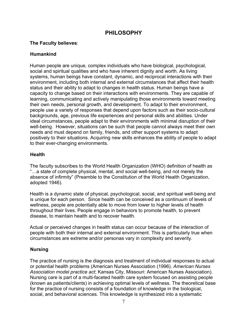## **PHILOSOPHY**

#### **The Faculty believes**:

#### **Humankind**

Human people are unique, complex individuals who have biological, psychological, social and spiritual qualities and who have inherent dignity and worth. As living systems, human beings have constant, dynamic, and reciprocal interactions with their environment, including both internal and external circumstances that affect their health status and their ability to adapt to changes in health status. Human beings have a capacity to change based on their interactions with environments. They are capable of learning, communicating and actively manipulating those environments toward meeting their own needs, personal growth, and development. To adapt to their environment, people use a variety of responses that depend upon factors such as their socio-cultural backgrounds, age, previous life experiences and personal skills and abilities. Under ideal circumstances, people adapt to their environments with minimal disruption of their well-being. However, situations can be such that people cannot always meet their own needs and must depend on family, friends, and other support systems to adapt positively to their situations. Acquiring new skills enhances the ability of people to adapt to their ever-changing environments.

#### **Health**

The faculty subscribes to the World Health Organization (WHO) definition of health as "…a state of complete physical, mental, and social well-being, and not merely the absence of infirmity" (Preamble to the Constitution of the World Health Organization, adopted 1946).

Health is a dynamic state of physical, psychological, social, and spiritual well-being and is unique for each person. Since health can be conceived as a continuum of levels of wellness, people are potentially able to move from lower to higher levels of health throughout their lives. People engage in behaviors to promote health, to prevent disease, to maintain health and to recover health.

Actual or perceived changes in health status can occur because of the interaction of people with both their internal and external environment. This is particularly true when circumstances are extreme and/or personas vary in complexity and severity.

#### **Nursing**

The practice of nursing is the diagnosis and treatment of individual responses to actual or potential health problems (American Nurses Association (1996). *American Nurses Association model practice act*; Kansas City, Missouri: American Nurses Association). Nursing care is part of a multi-faceted health care system focused on assisting people (known as patients/clients) in achieving optimal levels of wellness. The theoretical base for the practice of nursing consists of a foundation of knowledge in the biological, social, and behavioral sciences. This knowledge is synthesized into a systematic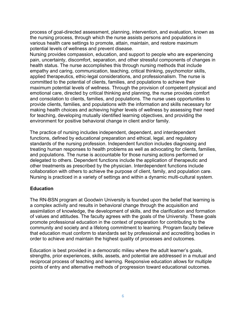process of goal-directed assessment, planning, intervention, and evaluation, known as the nursing process, through which the nurse assists persons and populations in various health care settings to promote, attain, maintain, and restore maximum potential levels of wellness and prevent disease.

Nursing provides compassion, education, and support to people who are experiencing pain, uncertainty, discomfort, separation, and other stressful components of changes in health status. The nurse accomplishes this through nursing methods that include empathy and caring, communication, teaching, critical thinking, psychomotor skills, applied therapeutics, ethic-legal considerations, and professionalism. The nurse is committed to the potential of clients, families, and populations to achieve their maximum potential levels of wellness. Through the provision of competent physical and emotional care, directed by critical thinking and planning, the nurse provides comfort and consolation to clients, families, and populations. The nurse uses opportunities to provide clients, families, and populations with the information and skills necessary for making health choices and achieving higher levels of wellness by assessing their need for teaching, developing mutually identified learning objectives, and providing the environment for positive behavioral change in client and/or family.

The practice of nursing includes independent, dependent, and interdependent functions, defined by educational preparation and ethical, legal, and regulatory standards of the nursing profession. Independent function includes diagnosing and treating human responses to health problems as well as advocating for clients, families, and populations. The nurse is accountable for those nursing actions performed or delegated to others. Dependent functions include the application of therapeutic and other treatments as prescribed by the physician. Interdependent functions include collaboration with others to achieve the purpose of client, family, and population care. Nursing is practiced in a variety of settings and within a dynamic multi-cultural system.

#### **Education**

The RN-BSN program at Goodwin University is founded upon the belief that learning is a complex activity and results in behavioral change through the acquisition and assimilation of knowledge, the development of skills, and the clarification and formation of values and attitudes. The faculty agrees with the goals of the University. These goals promote professional education in the context of preparation for contributing to the community and society and a lifelong commitment to learning. Program faculty believe that education must conform to standards set by professional and accrediting bodies in order to achieve and maintain the highest quality of processes and outcomes.

Education is best provided in a democratic milieu where the adult learner's goals, strengths, prior experiences, skills, assets, and potential are addressed in a mutual and reciprocal process of teaching and learning. Responsive education allows for multiple points of entry and alternative methods of progression toward educational outcomes.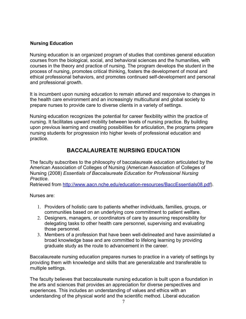#### **Nursing Education**

Nursing education is an organized program of studies that combines general education courses from the biological, social, and behavioral sciences and the humanities, with courses in the theory and practice of nursing. The program develops the student in the process of nursing, promotes critical thinking, fosters the development of moral and ethical professional behaviors, and promotes continued self-development and personal and professional growth.

It is incumbent upon nursing education to remain attuned and responsive to changes in the health care environment and an increasingly multicultural and global society to prepare nurses to provide care to diverse clients in a variety of settings.

Nursing education recognizes the potential for career flexibility within the practice of nursing. It facilitates upward mobility between levels of nursing practice. By building upon previous learning and creating possibilities for articulation, the programs prepare nursing students for progression into higher levels of professional education and practice.

## **BACCALAUREATE NURSING EDUCATION**

The faculty subscribes to the philosophy of baccalaureate education articulated by the American Association of Colleges of Nursing (American Association of Colleges of Nursing (2008) *Essentials of Baccalaureate Education for Professional Nursing Practice*.

Retrieved from http://www.aacn.nche.edu/education-resources/BaccEssentials08.pdf).

Nurses are:

- 1. Providers of holistic care to patients whether individuals, families, groups, or communities based on an underlying core commitment to patient welfare.
- 2. Designers, managers, or coordinators of care by assuming responsibility for delegating tasks to other health care personnel, supervising and evaluating those personnel.
- 3. Members of a profession that have been well-delineated and have assimilated a broad knowledge base and are committed to lifelong learning by providing graduate study as the route to advancement in the career.

Baccalaureate nursing education prepares nurses to practice in a variety of settings by providing them with knowledge and skills that are generalizable and transferable to multiple settings.

The faculty believes that baccalaureate nursing education is built upon a foundation in the arts and sciences that provides an appreciation for diverse perspectives and experiences. This includes an understanding of values and ethics with an understanding of the physical world and the scientific method. Liberal education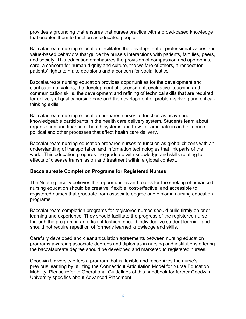provides a grounding that ensures that nurses practice with a broad-based knowledge that enables them to function as educated people.

Baccalaureate nursing education facilitates the development of professional values and value-based behaviors that guide the nurse's interactions with patients, families, peers, and society. This education emphasizes the provision of compassion and appropriate care, a concern for human dignity and culture, the welfare of others, a respect for patients' rights to make decisions and a concern for social justice.

Baccalaureate nursing education provides opportunities for the development and clarification of values, the development of assessment, evaluative, teaching and communication skills, the development and refining of technical skills that are required for delivery of quality nursing care and the development of problem-solving and criticalthinking skills.

Baccalaureate nursing education prepares nurses to function as active and knowledgeable participants in the health care delivery system. Students learn about organization and finance of health systems and how to participate in and influence political and other processes that affect health care delivery.

Baccalaureate nursing education prepares nurses to function as global citizens with an understanding of transportation and information technologies that link parts of the world. This education prepares the graduate with knowledge and skills relating to effects of disease transmission and treatment within a global context.

#### **Baccalaureate Completion Programs for Registered Nurses**

The Nursing faculty believes that opportunities and routes for the seeking of advanced nursing education should be creative, flexible, cost-effective, and accessible to registered nurses that graduate from associate degree and diploma nursing education programs.

Baccalaureate completion programs for registered nurses should build firmly on prior learning and experience. They should facilitate the progress of the registered nurse through the program in an efficient fashion, should individualize student learning and should not require repetition of formerly learned knowledge and skills.

Carefully developed and clear articulation agreements between nursing education programs awarding associate degrees and diplomas in nursing and institutions offering the baccalaureate degree should be developed and marketed to registered nurses.

Goodwin University offers a program that is flexible and recognizes the nurse's previous learning by utilizing the Connecticut Articulation Model for Nurse Education Mobility. Please refer to Operational Guidelines of this handbook for further Goodwin University specifics about Advanced Placement.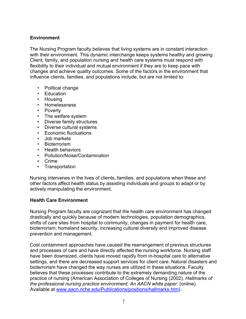#### **Environment**

The Nursing Program faculty believes that living systems are in constant interaction with their environment. This dynamic interchange keeps systems healthy and growing. Client, family, and population nursing and health care systems must respond with flexibility to their individual and mutual environment if they are to keep pace with changes and achieve quality outcomes. Some of the factors in the environment that influence clients, families, and populations include, but are not limited to:

- Political change
- Education
- Housing
- Homelessness
- Poverty
- The welfare system
- Diverse family structures
- Diverse cultural systems
- Economic fluctuations
- Job markets
- Bioterrorism
- Health behaviors
- Pollution/Noise/Contamination
- Crime
- Transportation

Nursing intervenes in the lives of clients, families, and populations when these and other factors affect health status by assisting individuals and groups to adapt or by actively manipulating the environment.

#### **Health Care Environment**

Nursing Program faculty are cognizant that the health care environment has changed drastically and quickly because of modern technologies, population demographics, shifts of care sites from hospital to community, changes in payment for health care, bioterrorism, homeland security, increasing cultural diversity and improved disease prevention and management.

Cost containment approaches have caused the rearrangement of previous structures and processes of care and have directly affected the nursing workforce. Nursing staff have been downsized, clients have moved rapidly from in-hospital care to alternative settings, and there are decreased support services for client care. Natural disasters and bioterrorism have changed the way nurses are utilized in these situations. Faculty believes that these processes contribute to the extremely demanding nature of the practice of nursing (American Association of Colleges of Nursing (2002). *Hallmarks of the professional nursing practice environment: An AACN white paper*. (online). Available at www.aacn.nche.edu/Publications/positions/hallmarks.htm).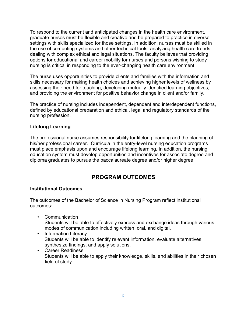To respond to the current and anticipated changes in the health care environment, graduate nurses must be flexible and creative and be prepared to practice in diverse settings with skills specialized for those settings. In addition, nurses must be skilled in the use of computing systems and other technical tools, analyzing health care trends, dealing with complex ethical and legal situations. The faculty believes that providing options for educational and career mobility for nurses and persons wishing to study nursing is critical in responding to the ever-changing health care environment.

The nurse uses opportunities to provide clients and families with the information and skills necessary for making health choices and achieving higher levels of wellness by assessing their need for teaching, developing mutually identified learning objectives, and providing the environment for positive behavior change in client and/or family.

The practice of nursing includes independent, dependent and interdependent functions, defined by educational preparation and ethical, legal and regulatory standards of the nursing profession.

#### **Lifelong Learning**

The professional nurse assumes responsibility for lifelong learning and the planning of his/her professional career. Curricula in the entry-level nursing education programs must place emphasis upon and encourage lifelong learning. In addition, the nursing education system must develop opportunities and incentives for associate degree and diploma graduates to pursue the baccalaureate degree and/or higher degree.

## **PROGRAM OUTCOMES**

#### **Institutional Outcomes**

The outcomes of the Bachelor of Science in Nursing Program reflect institutional outcomes:

- Communication Students will be able to effectively express and exchange ideas through various modes of communication including written, oral, and digital.
- Information Literacy Students will be able to identify relevant information, evaluate alternatives, synthesize findings, and apply solutions.
- Career Readiness Students will be able to apply their knowledge, skills, and abilities in their chosen field of study.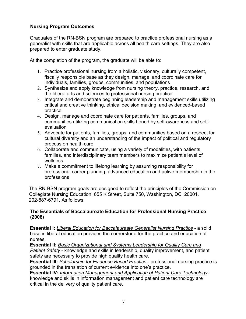#### **Nursing Program Outcomes**

Graduates of the RN-BSN program are prepared to practice professional nursing as a generalist with skills that are applicable across all health care settings. They are also prepared to enter graduate study.

At the completion of the program, the graduate will be able to:

- 1. Practice professional nursing from a holistic, visionary, culturally competent, fiscally responsible base as they design, manage, and coordinate care for individuals, families, groups, communities, and populations
- 2. Synthesize and apply knowledge from nursing theory, practice, research, and the liberal arts and sciences to professional nursing practice
- 3. Integrate and demonstrate beginning leadership and management skills utilizing critical and creative thinking, ethical decision making, and evidenced-based practice
- 4. Design, manage and coordinate care for patients, families, groups, and communities utilizing communication skills honed by self-awareness and selfevaluation
- 5. Advocate for patients, families, groups, and communities based on a respect for cultural diversity and an understanding of the impact of political and regulatory process on health care
- 6. Collaborate and communicate, using a variety of modalities, with patients, families, and interdisciplinary team members to maximize patient's level of wellness
- 7. Make a commitment to lifelong learning by assuming responsibility for professional career planning, advanced education and active membership in the professions

The RN-BSN program goals are designed to reflect the principles of the Commission on Collegiate Nursing Education, 655 K Street, Suite 750, Washington, DC 20001. 202-887-6791. As follows:

#### **The Essentials of Baccalaureate Education for Professional Nursing Practice (2008)**

**Essential I:** *Liberal Education for Baccalaureate Generalist Nursing Practice* - a solid base in liberal education provides the cornerstone for the practice and education of nurses.

**Essential II:** *Basic Organizational and Systems Leadership for Quality Care and Patient Safety* - knowledge and skills in leadership, quality improvement, and patient safety are necessary to provide high quality health care.

**Essential III:** *Scholarship for Evidence Based Practice* - professional nursing practice is grounded in the translation of current evidence into one's practice.

**Essential IV:** *Information Management and Application of Patient Care Technology*knowledge and skills in information management and patient care technology are critical in the delivery of quality patient care.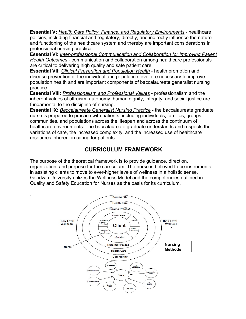**Essential V:** *Health Care Policy, Finance, and Regulatory Environments* - healthcare policies, including financial and regulatory, directly, and indirectly influence the nature and functioning of the healthcare system and thereby are important considerations in professional nursing practice.

**Essential VI:** *Inter-professional Communication and Collaboration for Improving Patient Health Outcomes* - communication and collaboration among healthcare professionals are critical to delivering high quality and safe patient care.

**Essential VII:** *Clinical Prevention and Population Health* - health promotion and disease prevention at the individual and population level are necessary to improve population health and are important components of baccalaureate generalist nursing practice.

**Essential VIII:** *Professionalism and Professional Values* - professionalism and the inherent values of altruism, autonomy, human dignity, integrity, and social justice are fundamental to the discipline of nursing.

**Essential IX:** *Baccalaureate Generalist Nursing Practice* - the baccalaureate graduate nurse is prepared to practice with patients, including individuals, families, groups, communities, and populations across the lifespan and across the continuum of healthcare environments. The baccalaureate graduate understands and respects the variations of care, the increased complexity, and the increased use of healthcare resources inherent in caring for patients.

## **CURRICULUM FRAMEWORK**

The purpose of the theoretical framework is to provide guidance, direction, organization, and purpose for the curriculum. The nurse is believed to be instrumental in assisting clients to move to ever-higher levels of wellness in a holistic sense. Goodwin University utilizes the Wellness Model and the competencies outlined in Quality and Safety Education for Nurses as the basis for its curriculum.

.

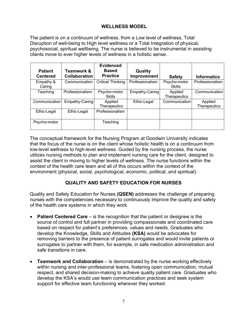#### **WELLNESS MODEL**

The patient is on a continuum of wellness, from a Low level of wellness, Total Disruption of well-being to High level wellness or a Total Integration of physical, psychosocial, spiritual wellbeing. The nurse is believed to be instrumental in assisting clients move to ever higher levels of wellness in a holistic sense.

| <b>Patient</b><br><b>Centered</b> | <b>Teamwork &amp;</b><br><b>Collaboration</b> | <b>Evidenced</b><br><b>Based</b><br><b>Practice</b> | Quality<br><b>Improvement</b> | <b>Safety</b>           | <b>Informatics</b>             |
|-----------------------------------|-----------------------------------------------|-----------------------------------------------------|-------------------------------|-------------------------|--------------------------------|
| Empathy &<br>Caring               | Communication                                 | <b>Critical Thinking</b>                            | Professionalism               | Psycho-motor<br>Skills  | Professionalism                |
| Teaching                          | Professionalism                               | Psycho-motor<br><b>Skills</b>                       | Empathy-Caring                | Applied<br>Therapeutics | Communication                  |
| Communication                     | Empathy-Caring                                | Applied<br><b>Therapeutics</b>                      | Ethic-Legal                   | Communication           | Applied<br><b>Therapeutics</b> |
| Ethic-Legal                       | Ethic-Legal                                   | Professionalism                                     |                               |                         |                                |
| Psycho-motor                      |                                               | Teaching                                            |                               |                         |                                |

The conceptual framework for the Nursing Program at Goodwin University indicates that the focus of the nurse is on the client whose holistic health is on a continuum from low-level wellness to high-level wellness. Guided by the nursing process, the nurse utilizes nursing methods to plan and implement nursing care for the client, designed to assist the client in moving to higher levels of wellness. The nurse functions within the context of the health care team and all of this occurs within the context of the environment (physical, social, psychological, economic, political, and spiritual).

#### **QUALITY AND SAFETY EDUCATION FOR NURSES**

Quality and Safety Education for Nurses **(QSEN)** addresses the challenge of preparing nurses with the competencies necessary to continuously improve the quality and safety of the health care systems in which they work.

- **Patient Centered Care** is the recognition that the patient or designee is the source of control and full partner in providing compassionate and coordinated care based on respect for patient's preferences, values and needs. Graduates who develop the Knowledge, Skills and Attitudes **(KSA)** would be advocates for removing barriers to the presence of patient surrogates and would invite patients or surrogates to partner with them, for example, in safe medication administration and safe transitions in care.
- **Teamwork and Collaboration** is demonstrated by the nurse working effectively within nursing and inter-professional teams, fostering open communication, mutual respect, and shared decision-making to achieve quality patient care. Graduates who develop the KSA's would use team communication practices and seek system support for effective team functioning wherever they worked.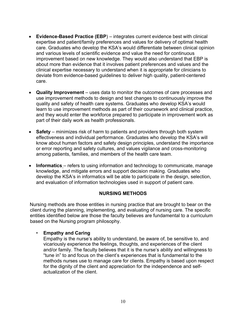- **Evidence-Based Practice (EBP**) integrates current evidence best with clinical expertise and patient/family preferences and values for delivery of optimal health care. Graduates who develop the KSA's would differentiate between clinical opinion and various levels of scientific evidence and value the need for continuous improvement based on new knowledge. They would also understand that EBP is about more than evidence that it involves patient preferences and values and the clinical expertise necessary to understand when it is appropriate for clinicians to deviate from evidence-based guidelines to deliver high quality, patient-centered care.
- **Quality Improvement** uses data to monitor the outcomes of care processes and use improvement methods to design and test changes to continuously improve the quality and safety of health care systems. Graduates who develop KSA's would learn to use improvement methods as part of their coursework and clinical practice, and they would enter the workforce prepared to participate in improvement work as part of their daily work as health professionals.
- **Safety** minimizes risk of harm to patients and providers through both system effectiveness and individual performance. Graduates who develop the KSA's will know about human factors and safety design principles, understand the importance or error reporting and safety cultures, and values vigilance and cross-monitoring among patients, families, and members of the health care team.
- **Informatics** refers to using information and technology to communicate, manage knowledge, and mitigate errors and support decision making. Graduates who develop the KSA's in informatics will be able to participate in the design, selection, and evaluation of information technologies used in support of patient care.

#### **NURSING METHODS**

Nursing methods are those entities in nursing practice that are brought to bear on the client during the planning, implementing, and evaluating of nursing care. The specific entities identified below are those the faculty believes are fundamental to a curriculum based on the Nursing program philosophy.

#### • **Empathy and Caring**

Empathy is the nurse's ability to understand, be aware of, be sensitive to, and vicariously experience the feelings, thoughts, and experiences of the client and/or family. The faculty believes that it is the nurse's ability and willingness to "tune in" to and focus on the client's experiences that is fundamental to the methods nurses use to manage care for clients. Empathy is based upon respect for the dignity of the client and appreciation for the independence and selfactualization of the client.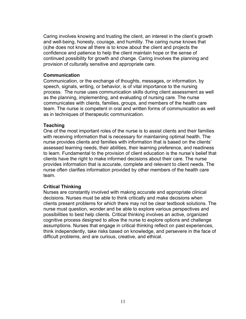Caring involves knowing and trusting the client, an interest in the client's growth and well-being, honesty, courage, and humility. The caring nurse knows that (s)he does not know all there is to know about the client and projects the confidence and patience to help the client maintain hope or the sense of continued possibility for growth and change. Caring involves the planning and provision of culturally sensitive and appropriate care.

#### **Communication**

Communication, or the exchange of thoughts, messages, or information, by speech, signals, writing, or behavior, is of vital importance to the nursing process. The nurse uses communication skills during client assessment as well as the planning, implementing, and evaluating of nursing care. The nurse communicates with clients, families, groups, and members of the health care team. The nurse is competent in oral and written forms of communication as well as in techniques of therapeutic communication.

#### **Teaching**

One of the most important roles of the nurse is to assist clients and their families with receiving information that is necessary for maintaining optimal health. The nurse provides clients and families with information that is based on the clients' assessed learning needs, their abilities, their learning preference, and readiness to learn. Fundamental to the provision of client education is the nurse's belief that clients have the right to make informed decisions about their care. The nurse provides information that is accurate, complete and relevant to client needs. The nurse often clarifies information provided by other members of the health care team.

#### **Critical Thinking**

Nurses are constantly involved with making accurate and appropriate clinical decisions. Nurses must be able to think critically and make decisions when clients present problems for which there may not be clear textbook solutions. The nurse must question, wonder and be able to explore various perspectives and possibilities to best help clients. Critical thinking involves an active, organized cognitive process designed to allow the nurse to explore options and challenge assumptions. Nurses that engage in critical thinking reflect on past experiences, think independently, take risks based on knowledge, and persevere in the face of difficult problems, and are curious, creative, and ethical.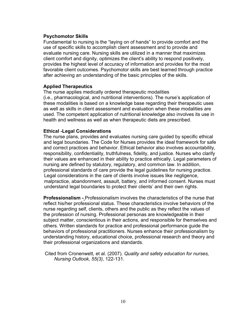#### **Psychomotor Skills**

Fundamental to nursing is the "laying on of hands" to provide comfort and the use of specific skills to accomplish client assessment and to provide and evaluate nursing care. Nursing skills are utilized in a manner that maximizes client comfort and dignity, optimizes the client's ability to respond positively, provides the highest level of accuracy of information and provides for the most favorable client outcomes. Psychomotor skills are best learned through practice after achieving an understanding of the basic principles of the skills.

#### **Applied Therapeutics**

The nurse applies medically ordered therapeutic modalities (i.e., pharmacological, and nutritional interventions). The nurse's application of these modalities is based on a knowledge base regarding their therapeutic uses as well as skills in client assessment and evaluation when these modalities are used. The competent application of nutritional knowledge also involves its use in health and wellness as well as when therapeutic diets are prescribed.

#### **Ethical -Legal Considerations**

The nurse plans, provides and evaluates nursing care guided by specific ethical and legal boundaries. The Code for Nurses provides the ideal framework for safe and correct practices and behavior. Ethical behavior also involves accountability, responsibility, confidentiality, truthfulness, fidelity, and justice. Nurses who clarify their values are enhanced in their ability to practice ethically. Legal parameters of nursing are defined by statutory, regulatory, and common law. In addition, professional standards of care provide the legal guidelines for nursing practice. Legal considerations in the care of clients involve issues like negligence, malpractice, abandonment, assault, battery, and informed consent. Nurses must understand legal boundaries to protect their clients' and their own rights.

**Professionalism -** Professionalism involves the characteristics of the nurse that reflect his/her professional status. These characteristics involve behaviors of the nurse regarding self, clients, others and the public as they reflect the values of the profession of nursing. Professional personas are knowledgeable in their subject matter, conscientious in their actions, and responsible for themselves and others. Written standards for practice and professional performance guide the behaviors of professional practitioners. Nurses enhance their professionalism by understanding history, educational choice, professional research and theory and their professional organizations and standards.

Cited from Cronenwett, et al. (2007). *Quality and safety education for nurses, Nursing Outlook, 55(3)*, 122-131.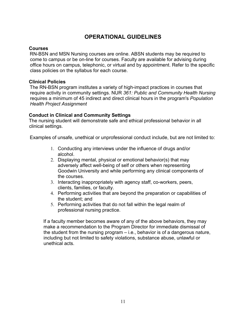## **OPERATIONAL GUIDELINES**

#### **Courses**

RN-BSN and MSN Nursing courses are online. ABSN students may be required to come to campus or be on-line for courses. Faculty are available for advising during office hours on campus, telephonic, or virtual and by appointment. Refer to the specific class policies on the syllabus for each course.

#### **Clinical Policies**

The RN-BSN program institutes a variety of high-impact practices in courses that require activity in community settings. NUR *361: Public and Community Health Nursing* requires a minimum of 45 indirect and direct clinical hours in the program's *Population Health Project Assignment*

#### **Conduct in Clinical and Community Settings**

The nursing student will demonstrate safe and ethical professional behavior in all clinical settings.

Examples of unsafe, unethical or unprofessional conduct include, but are not limited to:

- 1. Conducting any interviews under the influence of drugs and/or alcohol.
- 2. Displaying mental, physical or emotional behavior(s) that may adversely affect well-being of self or others when representing Goodwin University and while performing any clinical components of the courses.
- 3. Interacting inappropriately with agency staff, co-workers, peers, clients, families, or faculty.
- 4. Performing activities that are beyond the preparation or capabilities of the student; and
- 5. Performing activities that do not fall within the legal realm of professional nursing practice.

If a faculty member becomes aware of any of the above behaviors, they may make a recommendation to the Program Director for immediate dismissal of the student from the nursing program – i.e., behavior is of a dangerous nature, including but not limited to safety violations, substance abuse, unlawful or unethical acts.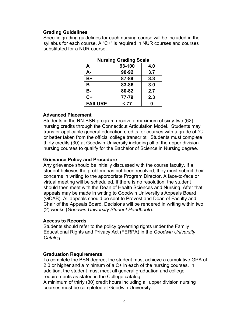#### **Grading Guidelines**

Specific grading guidelines for each nursing course will be included in the syllabus for each course. A "C+" is required in NUR courses and courses substituted for a NUR course.

| nursing Grading Scale |        |     |
|-----------------------|--------|-----|
| Α                     | 93-100 | 4.0 |
| А-                    | 90-92  | 3.7 |
| $B+$                  | 87-89  | 3.3 |
| B                     | 83-86  | 3.0 |
| <b>B-</b>             | 80-82  | 2.7 |
| $C+$                  | 77-79  | 2.3 |
| <b>FAILURE</b>        | < 77   | Ω   |

|  | <b>Nursing Grading Scale</b> |
|--|------------------------------|
|--|------------------------------|

#### **Advanced Placement**

Students in the RN-BSN program receive a maximum of sixty-two (62) nursing credits through the Connecticut Articulation Model. Students may transfer applicable general education credits for courses with a grade of "C" or better taken from the official college transcript. Students must complete thirty credits (30) at Goodwin University including all of the upper division nursing courses to qualify for the Bachelor of Science in Nursing degree.

#### **Grievance Policy and Procedure**

Any grievance should be initially discussed with the course faculty. If a student believes the problem has not been resolved, they must submit their concerns in writing to the appropriate Program Director. A face-to-face or virtual meeting will be scheduled. If there is no resolution, the student should then meet with the Dean of Health Sciences and Nursing. After that, appeals may be made in writing to Goodwin University's Appeals Board (GCAB). All appeals should be sent to Provost and Dean of Faculty and Chair of the Appeals Board. Decisions will be rendered in writing within two (2) weeks (*Goodwin University Student Handbook*).

#### **Access to Records**

Students should refer to the policy governing rights under the Family Educational Rights and Privacy Act (FERPA) in the *Goodwin University Catalog*.

#### **Graduation Requirements**

To complete the BSN degree, the student must achieve a cumulative GPA of 2.0 or higher and a minimum of a C+ in each of the nursing courses. In addition, the student must meet all general graduation and college requirements as stated in the College catalog.

A minimum of thirty (30) credit hours including all upper division nursing courses must be completed at Goodwin University.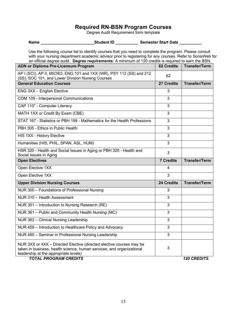#### **Required RN-BSN Program Courses**

Degree Audit Requirement form template

Use the following course list to identify courses that you need to complete the program. Please consult with your nursing department academic advisor prior to registering for any courses. Refer to SonisWeb for an official degree audit. **Degree requirements:** A minimum of 120 credits is required to earn the BSN.

| <b>ADN or Diploma Pre-Licensure Program</b>                                                                                                                                                                            | <b>62 Credits</b> | <b>Transfer/Term</b> |
|------------------------------------------------------------------------------------------------------------------------------------------------------------------------------------------------------------------------|-------------------|----------------------|
| AP I (SCI), AP II, MICRO, ENG 101 and 1XX (WR), PSY 112 (SS) and 212<br>(SS), SOC 101, and Lower Division Nursing Courses                                                                                              | 62                |                      |
| <b>General Education Courses</b>                                                                                                                                                                                       | 27 Credits        | <b>Transfer/Term</b> |
| ENG 3XX - English Elective                                                                                                                                                                                             | 3                 |                      |
| COM 105 - Interpersonal Communications                                                                                                                                                                                 | 3                 |                      |
| CAP 110* - Computer Literacy                                                                                                                                                                                           | 3                 |                      |
| MATH 1XX or Credit By Exam (CBE)                                                                                                                                                                                       | 3                 |                      |
| STAT 167 - Statistics or PBH 199 - Mathematics for the Health Professions                                                                                                                                              | 3                 |                      |
| PBH 305 - Ethics in Public Health                                                                                                                                                                                      | 3                 |                      |
| HIS 1XX - History Elective                                                                                                                                                                                             | 3                 |                      |
| Humanities (HIS, PHIL, SPAN, ASL, HUM)                                                                                                                                                                                 | 3                 |                      |
| HSR 320 - Health and Social Issues in Aging or PBH 320 - Health and<br>Social Issues in Aging                                                                                                                          | 3                 |                      |
| <b>Open Electives</b>                                                                                                                                                                                                  | <b>7 Credits</b>  | <b>Transfer/Term</b> |
| Open Elective 1XX                                                                                                                                                                                                      | 4                 |                      |
| Open Elective 1XX                                                                                                                                                                                                      | 3                 |                      |
| <b>Upper Division Nursing Courses</b>                                                                                                                                                                                  | 24 Credits        | <b>Transfer/Term</b> |
| NUR 300 - Foundations of Professional Nursing                                                                                                                                                                          | 3                 |                      |
| NUR 310 - Health Assessment                                                                                                                                                                                            | 3                 |                      |
| NUR 351 - Introduction to Nursing Research (RE)                                                                                                                                                                        | 3                 |                      |
| NUR 361 - Public and Community Health Nursing (MC)                                                                                                                                                                     | 3                 |                      |
| NUR 363 - Clinical Nursing Leadership                                                                                                                                                                                  | 3                 |                      |
| NUR 459 - Introduction to Healthcare Policy and Advocacy                                                                                                                                                               | 3                 |                      |
| NUR 460 - Seminar in Professional Nursing Leadership                                                                                                                                                                   | 3                 |                      |
| NUR 3XX or 4XX - Directed Elective (directed elective courses may be<br>taken in business, health science, human services, and organizational<br>leadership at the appropriate levels)<br><b>TOTAL PROGRAM CREDITS</b> | 3                 | <b>120 CREDITS</b>   |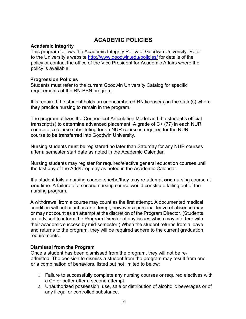## **ACADEMIC POLICIES**

#### **Academic Integrity**

This program follows the Academic Integrity Policy of Goodwin University. Refer to the University's website http://www.goodwin.edu/policies/ for details of the policy or contact the office of the Vice President for Academic Affairs where the policy is available.

#### **Progression Policies**

Students must refer to the current Goodwin University Catalog for specific requirements of the RN-BSN program.

It is required the student holds an unencumbered RN license(s) in the state(s) where they practice nursing to remain in the program.

The program utilizes the Connecticut Articulation Model and the student's official transcript(s) to determine advanced placement. A grade of C+ (77) in each NUR course or a course substituting for an NUR course is required for the NUR course to be transferred into Goodwin University.

Nursing students must be registered no later than Saturday for any NUR courses after a semester start date as noted in the Academic Calendar.

Nursing students may register for required/elective general education courses until the last day of the Add/Drop day as noted in the Academic Calendar.

If a student fails a nursing course, she/he/they may re-attempt **one** nursing course at **one** time. A failure of a second nursing course would constitute failing out of the nursing program.

A withdrawal from a course may count as the first attempt. A documented medical condition will not count as an attempt, however a personal leave of absence may or may not count as an attempt at the discretion of the Program Director. (Students are advised to inform the Program Director of any issues which may interfere with their academic success by mid-semester.) When the student returns from a leave and returns to the program, they will be required adhere to the current graduation requirements.

#### **Dismissal from the Program**

Once a student has been dismissed from the program, they will not be readmitted. The decision to dismiss a student from the program may result from one or a combination of behaviors, listed but not limited to below:

- 1. Failure to successfully complete any nursing courses or required electives with a C+ or better after a second attempt.
- 2. Unauthorized possession, use, sale or distribution of alcoholic beverages or of any illegal or controlled substance.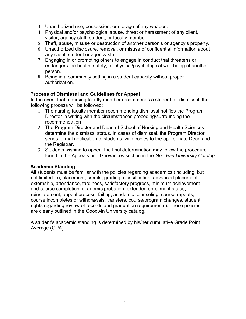- 3. Unauthorized use, possession, or storage of any weapon.
- 4. Physical and/or psychological abuse, threat or harassment of any client, visitor, agency staff, student, or faculty member.
- 5. Theft, abuse, misuse or destruction of another person's or agency's property.
- 6. Unauthorized disclosure, removal, or misuse of confidential information about any client, student or agency staff.
- 7. Engaging in or prompting others to engage in conduct that threatens or endangers the health, safety, or physical/psychological well-being of another person.
- 8. Being in a community setting in a student capacity without proper authorization.

#### **Process of Dismissal and Guidelines for Appeal**

In the event that a nursing faculty member recommends a student for dismissal, the following process will be followed:

- 1. The nursing faculty member recommending dismissal notifies the Program Director in writing with the circumstances preceding/surrounding the recommendation
- 2. The Program Director and Dean of School of Nursing and Health Sciences determine the dismissal status. In cases of dismissal, the Program Director sends formal notification to students, with copies to the appropriate Dean and the Registrar.
- 3. Students wishing to appeal the final determination may follow the procedure found in the Appeals and Grievances section in the *Goodwin University Catalog*

#### **Academic Standing**

All students must be familiar with the policies regarding academics (including, but not limited to), placement, credits, grading, classification, advanced placement, externship, attendance, tardiness, satisfactory progress, minimum achievement and course completion, academic probation, extended enrollment status, reinstatement, appeal process, failing, academic counseling, course repeats, course incompletes or withdrawals, transfers, course/program changes, student rights regarding review of records and graduation requirements). These policies are clearly outlined in the Goodwin University catalog.

A student's academic standing is determined by his/her cumulative Grade Point Average (GPA).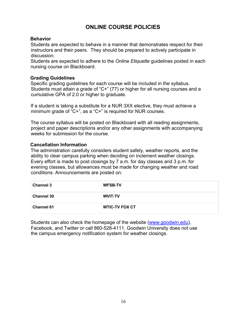## **ONLINE COURSE POLICIES**

#### **Behavior**

Students are expected to behave in a manner that demonstrates respect for their instructors and their peers. They should be prepared to actively participate in discussion.

Students are expected to adhere to the *Online Etiquette* guidelines posted in each nursing course on Blackboard.

#### **Grading Guidelines**

Specific grading guidelines for each course will be included in the syllabus. Students must attain a grade of "C+" (77) or higher for all nursing courses and a cumulative GPA of 2.0 or higher to graduate.

If a student is taking a substitute for a NUR 3XX elective, they must achieve a minimum grade of "C+", as a "C+" is required for NUR courses.

The course syllabus will be posted on Blackboard with all reading assignments, project and paper descriptions and/or any other assignments with accompanying weeks for submission for the course.

#### **Cancellation Information**

The administration carefully considers student safety, weather reports, and the ability to clear campus parking when deciding on inclement weather closings. Every effort is made to post closings by 7 a.m. for day classes and 3 p.m. for evening classes, but allowances must be made for changing weather and road conditions. Announcements are posted on:

| <b>Channel 3</b>  | <b>WFSB-TV</b>        |
|-------------------|-----------------------|
| <b>Channel 30</b> | <b>WVIT-TV</b>        |
| <b>Channel 61</b> | <b>WTIC-TV FOX CT</b> |

Students can also check the homepage of the website (www.goodwin.edu), Facebook, and Twitter or call 860-528-4111. Goodwin University does not use the campus emergency notification system for weather closings.